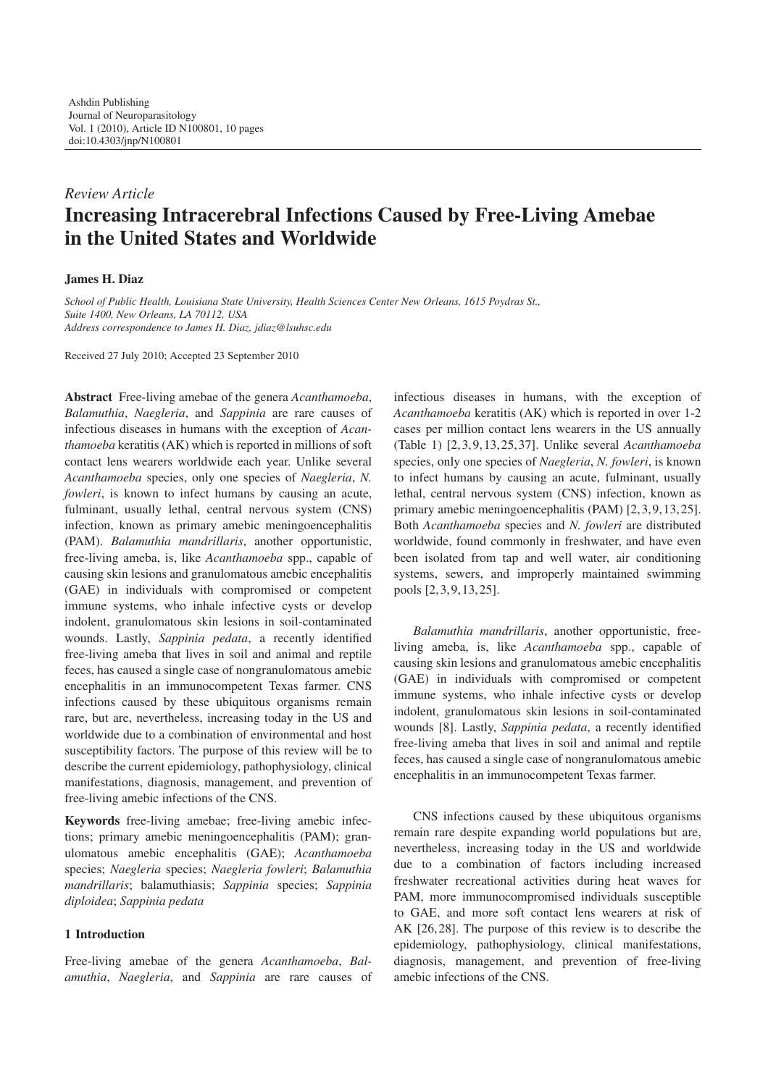# *Review Article* **Increasing Intracerebral Infections Caused by Free-Living Amebae in the United States and Worldwide**

# **James H. Diaz**

*School of Public Health, Louisiana State University, Health Sciences Center New Orleans, 1615 Poydras St., Suite 1400, New Orleans, LA 70112, USA Address correspondence to James H. Diaz, jdiaz@lsuhsc.edu*

Received 27 July 2010; Accepted 23 September 2010

**Abstract** Free-living amebae of the genera *Acanthamoeba*, *Balamuthia*, *Naegleria*, and *Sappinia* are rare causes of infectious diseases in humans with the exception of *Acanthamoeba* keratitis (AK) which is reported in millions of soft contact lens wearers worldwide each year. Unlike several *Acanthamoeba* species, only one species of *Naegleria*, *N. fowleri*, is known to infect humans by causing an acute, fulminant, usually lethal, central nervous system (CNS) infection, known as primary amebic meningoencephalitis (PAM). *Balamuthia mandrillaris*, another opportunistic, free-living ameba, is, like *Acanthamoeba* spp., capable of causing skin lesions and granulomatous amebic encephalitis (GAE) in individuals with compromised or competent immune systems, who inhale infective cysts or develop indolent, granulomatous skin lesions in soil-contaminated wounds. Lastly, *Sappinia pedata*, a recently identified free-living ameba that lives in soil and animal and reptile feces, has caused a single case of nongranulomatous amebic encephalitis in an immunocompetent Texas farmer. CNS infections caused by these ubiquitous organisms remain rare, but are, nevertheless, increasing today in the US and worldwide due to a combination of environmental and host susceptibility factors. The purpose of this review will be to describe the current epidemiology, pathophysiology, clinical manifestations, diagnosis, management, and prevention of free-living amebic infections of the CNS.

**Keywords** free-living amebae; free-living amebic infections; primary amebic meningoencephalitis (PAM); granulomatous amebic encephalitis (GAE); *Acanthamoeba* species; *Naegleria* species; *Naegleria fowleri*; *Balamuthia mandrillaris*; balamuthiasis; *Sappinia* species; *Sappinia diploidea*; *Sappinia pedata*

## **1 Introduction**

Free-living amebae of the genera *Acanthamoeba*, *Balamuthia*, *Naegleria*, and *Sappinia* are rare causes of

infectious diseases in humans, with the exception of *Acanthamoeba* keratitis (AK) which is reported in over 1-2 cases per million contact lens wearers in the US annually (Table 1) [2, 3, 9, 13, 25, 37]. Unlike several *Acanthamoeba* species, only one species of *Naegleria*, *N. fowleri*, is known to infect humans by causing an acute, fulminant, usually lethal, central nervous system (CNS) infection, known as primary amebic meningoencephalitis (PAM) [2, 3, 9, 13, 25]. Both *Acanthamoeba* species and *N. fowleri* are distributed worldwide, found commonly in freshwater, and have even been isolated from tap and well water, air conditioning systems, sewers, and improperly maintained swimming pools [2, 3, 9, 13, 25].

*Balamuthia mandrillaris*, another opportunistic, freeliving ameba, is, like *Acanthamoeba* spp., capable of causing skin lesions and granulomatous amebic encephalitis (GAE) in individuals with compromised or competent immune systems, who inhale infective cysts or develop indolent, granulomatous skin lesions in soil-contaminated wounds [8]. Lastly, *Sappinia pedata*, a recently identified free-living ameba that lives in soil and animal and reptile feces, has caused a single case of nongranulomatous amebic encephalitis in an immunocompetent Texas farmer.

CNS infections caused by these ubiquitous organisms remain rare despite expanding world populations but are, nevertheless, increasing today in the US and worldwide due to a combination of factors including increased freshwater recreational activities during heat waves for PAM, more immunocompromised individuals susceptible to GAE, and more soft contact lens wearers at risk of AK [26, 28]. The purpose of this review is to describe the epidemiology, pathophysiology, clinical manifestations, diagnosis, management, and prevention of free-living amebic infections of the CNS.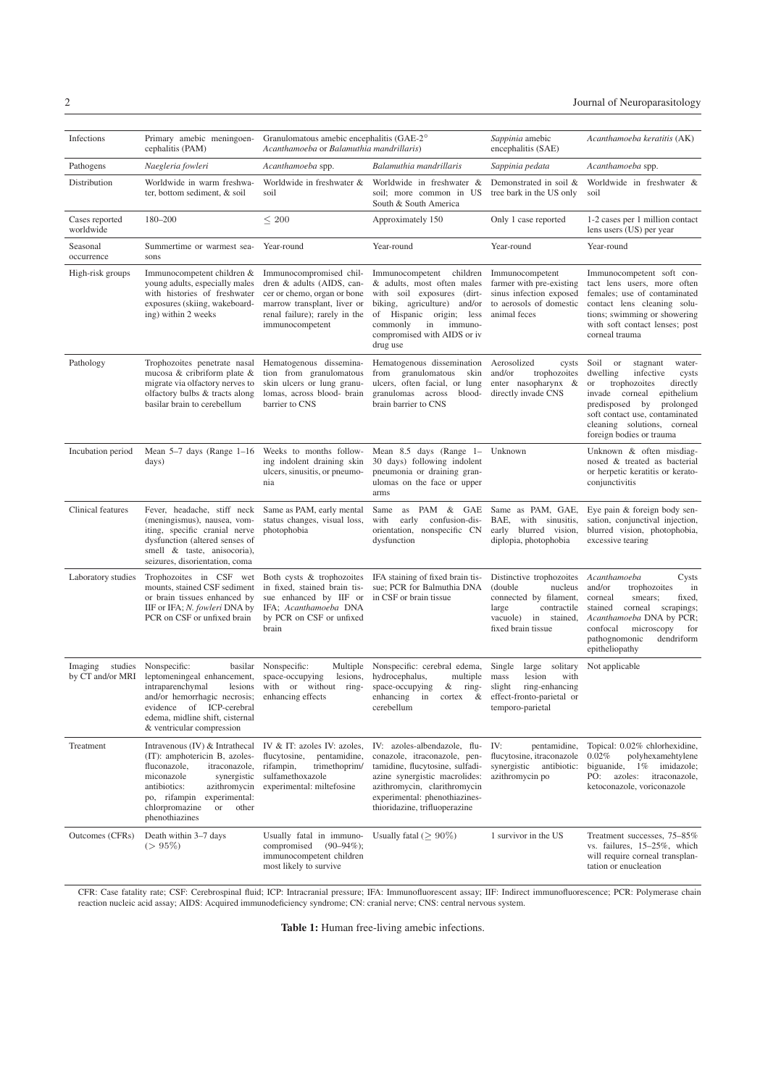| Infections                             | Primary amebic meningoen-<br>cephalitis (PAM)                                                                                                                                                                                                                                 | Granulomatous amebic encephalitis (GAE-2 <sup>o</sup><br>Acanthamoeba or Balamuthia mandrillaris)                                                                      |                                                                                                                                                                                                                                    | Sappinia amebic<br>encephalitis (SAE)                                                                                                           | Acanthamoeba keratitis (AK)                                                                                                                                                                                                                                                |
|----------------------------------------|-------------------------------------------------------------------------------------------------------------------------------------------------------------------------------------------------------------------------------------------------------------------------------|------------------------------------------------------------------------------------------------------------------------------------------------------------------------|------------------------------------------------------------------------------------------------------------------------------------------------------------------------------------------------------------------------------------|-------------------------------------------------------------------------------------------------------------------------------------------------|----------------------------------------------------------------------------------------------------------------------------------------------------------------------------------------------------------------------------------------------------------------------------|
| Pathogens                              | Naegleria fowleri                                                                                                                                                                                                                                                             | Acanthamoeba spp.                                                                                                                                                      | Balamuthia mandrillaris                                                                                                                                                                                                            | Sappinia pedata                                                                                                                                 | Acanthamoeba spp.                                                                                                                                                                                                                                                          |
| Distribution                           | Worldwide in warm freshwa-<br>ter, bottom sediment, & soil                                                                                                                                                                                                                    | Worldwide in freshwater &<br>soil                                                                                                                                      | Worldwide in freshwater &<br>soil; more common in US<br>South & South America                                                                                                                                                      | Demonstrated in soil &<br>tree bark in the US only                                                                                              | Worldwide in freshwater &<br>soil                                                                                                                                                                                                                                          |
| Cases reported<br>worldwide            | 180-200                                                                                                                                                                                                                                                                       | $\leq 200$                                                                                                                                                             | Approximately 150                                                                                                                                                                                                                  | Only 1 case reported                                                                                                                            | 1-2 cases per 1 million contact<br>lens users (US) per year                                                                                                                                                                                                                |
| Seasonal<br>occurrence                 | Summertime or warmest sea-<br>sons                                                                                                                                                                                                                                            | Year-round                                                                                                                                                             | Year-round                                                                                                                                                                                                                         | Year-round                                                                                                                                      | Year-round                                                                                                                                                                                                                                                                 |
| High-risk groups                       | Immunocompetent children &<br>young adults, especially males<br>with histories of freshwater<br>exposures (skiing, wakeboard-<br>ing) within 2 weeks                                                                                                                          | Immunocompromised chil-<br>dren & adults (AIDS, can-<br>cer or chemo, organ or bone<br>marrow transplant, liver or<br>renal failure); rarely in the<br>immunocompetent | Immunocompetent children<br>& adults, most often males<br>with soil exposures (dirt-<br>biking, agriculture) and/or<br>of Hispanic origin; less<br>commonly<br>in<br>immuno-<br>compromised with AIDS or iv<br>drug use            | Immunocompetent<br>farmer with pre-existing<br>sinus infection exposed<br>to aerosols of domestic<br>animal feces                               | Immunocompetent soft con-<br>tact lens users, more often<br>females; use of contaminated<br>contact lens cleaning solu-<br>tions; swimming or showering<br>with soft contact lenses; post<br>corneal trauma                                                                |
| Pathology                              | Trophozoites penetrate nasal<br>mucosa & cribriform plate &<br>migrate via olfactory nerves to<br>olfactory bulbs & tracts along<br>basilar brain to cerebellum                                                                                                               | Hematogenous dissemina-<br>tion from granulomatous<br>skin ulcers or lung granu-<br>lomas, across blood- brain<br>barrier to CNS                                       | Hematogenous dissemination<br>granulomatous<br>from<br>skin<br>ulcers, often facial, or lung<br>granulomas<br>across<br>blood-<br>brain barrier to CNS                                                                             | Aerosolized<br>cysts<br>and/or<br>trophozoites<br>enter nasopharynx &<br>directly invade CNS                                                    | Soil<br>or<br>stagnant<br>water-<br>dwelling<br>infective<br>cysts<br>trophozoites<br>directly<br><b>or</b><br>corneal<br>epithelium<br>invade<br>predisposed by<br>prolonged<br>soft contact use, contaminated<br>cleaning solutions, corneal<br>foreign bodies or trauma |
| Incubation period                      | Mean $5-7$ days (Range $1-16$<br>days)                                                                                                                                                                                                                                        | Weeks to months follow-<br>ing indolent draining skin<br>ulcers, sinusitis, or pneumo-<br>nia                                                                          | Mean 8.5 days (Range 1-<br>30 days) following indolent<br>pneumonia or draining gran-<br>ulomas on the face or upper<br>arms                                                                                                       | Unknown                                                                                                                                         | Unknown & often misdiag-<br>nosed & treated as bacterial<br>or herpetic keratitis or kerato-<br>conjunctivitis                                                                                                                                                             |
| Clinical features                      | Fever, headache, stiff neck<br>(meningismus), nausea, vom-<br>iting, specific cranial nerve<br>dysfunction (altered senses of<br>smell & taste, anisocoria),<br>seizures, disorientation, coma                                                                                | Same as PAM, early mental<br>status changes, visual loss,<br>photophobia                                                                                               | as PAM & GAE<br>Same<br>with<br>early<br>confusion-dis-<br>orientation, nonspecific CN<br>dysfunction                                                                                                                              | Same as PAM, GAE,<br>BAE.<br>with sinusitis,<br>early blurred vision,<br>diplopia, photophobia                                                  | Eye pain & foreign body sen-<br>sation, conjunctival injection,<br>blurred vision, photophobia,<br>excessive tearing                                                                                                                                                       |
| Laboratory studies                     | Trophozoites in CSF wet<br>mounts, stained CSF sediment<br>or brain tissues enhanced by<br>IIF or IFA; N. fowleri DNA by<br>PCR on CSF or unfixed brain                                                                                                                       | Both cysts & trophozoites<br>in fixed, stained brain tis-<br>sue enhanced by IIF or<br>IFA; Acanthamoeba DNA<br>by PCR on CSF or unfixed<br>brain                      | IFA staining of fixed brain tis-<br>sue; PCR for Balmuthia DNA<br>in CSF or brain tissue                                                                                                                                           | Distinctive trophozoites<br>(double)<br>nucleus<br>connected by filament,<br>large<br>contractile<br>vacuole) in stained,<br>fixed brain tissue | Acanthamoeba<br>Cysts<br>and/or<br>trophozoites<br>in<br>corneal<br>fixed,<br>smears;<br>stained<br>corneal<br>scrapings;<br>Acanthamoeba DNA by PCR;<br>confocal<br>microscopy<br>for<br>pathognomonic<br>dendriform<br>epitheliopathy                                    |
| studies<br>Imaging<br>by CT and/or MRI | Nonspecific:<br>basilar<br>leptomeningeal enhancement,<br>intraparenchymal<br>and/or hemorrhagic necrosis;<br>evidence<br>of<br>ICP-cerebral<br>edema, midline shift, cisternal<br>& ventricular compression                                                                  | Nonspecific:<br>Multiple<br>space-occupying<br>lesions,<br>lesions with or without ring-<br>enhancing effects                                                          | Nonspecific: cerebral edema,<br>hydrocephalus,<br>multiple<br>space-occupying<br>&<br>ring-<br>enhancing in<br>&<br>cortex<br>cerebellum                                                                                           | Single<br>solitary<br>large<br>lesion<br>with<br>mass<br>slight<br>ring-enhancing<br>effect-fronto-parietal or<br>temporo-parietal              | Not applicable                                                                                                                                                                                                                                                             |
| Treatment                              | Intravenous (IV) & Intrathecal IV & IT: azoles IV: azoles,<br>(IT): amphotericin B, azoles-<br>fluconazole,<br>itraconazole,<br>miconazole<br>synergistic<br>antibiotics:<br>azithromycin<br>po, rifampin<br>experimental:<br>chlorpromazine<br>other<br>or<br>phenothiazines | flucytosine,<br>pentamidine,<br>rifampin,<br>trimethoprim/<br>sulfamethoxazole<br>experimental: miltefosine                                                            | IV: azoles-albendazole, flu-<br>conazole, itraconazole, pen-<br>tamidine, flucytosine, sulfadi-<br>azine synergistic macrolides:<br>azithromycin, clarithromycin<br>experimental: phenothiazines-<br>thioridazine, trifluoperazine | IV:<br>pentamidine,<br>flucytosine, itraconazole<br>synergistic<br>antibiotic:<br>azithromycin po                                               | Topical: 0.02% chlorhexidine,<br>0.02%<br>polyhexamehtylene<br>biguanide,<br>$1\%$<br>imidazole;<br>PO:<br>azoles:<br>itraconazole,<br>ketoconazole, voriconazole                                                                                                          |
| Outcomes (CFRs)                        | Death within 3-7 days<br>$(> 95\%)$                                                                                                                                                                                                                                           | Usually fatal in immuno-<br>$(90 - 94\%)$ ;<br>compromised<br>immunocompetent children<br>most likely to survive                                                       | Usually fatal ( $\geq 90\%$ )                                                                                                                                                                                                      | 1 survivor in the US                                                                                                                            | Treatment successes, 75-85%<br>vs. failures, 15-25%, which<br>will require corneal transplan-<br>tation or enucleation                                                                                                                                                     |

CFR: Case fatality rate; CSF: Cerebrospinal fluid; ICP: Intracranial pressure; IFA: Immunofluorescent assay; IIF: Indirect immunofluorescence; PCR: Polymerase chain<br>reaction nucleic acid assay; AIDS: Acquired immunodeficie

**Table 1:** Human free-living amebic infections.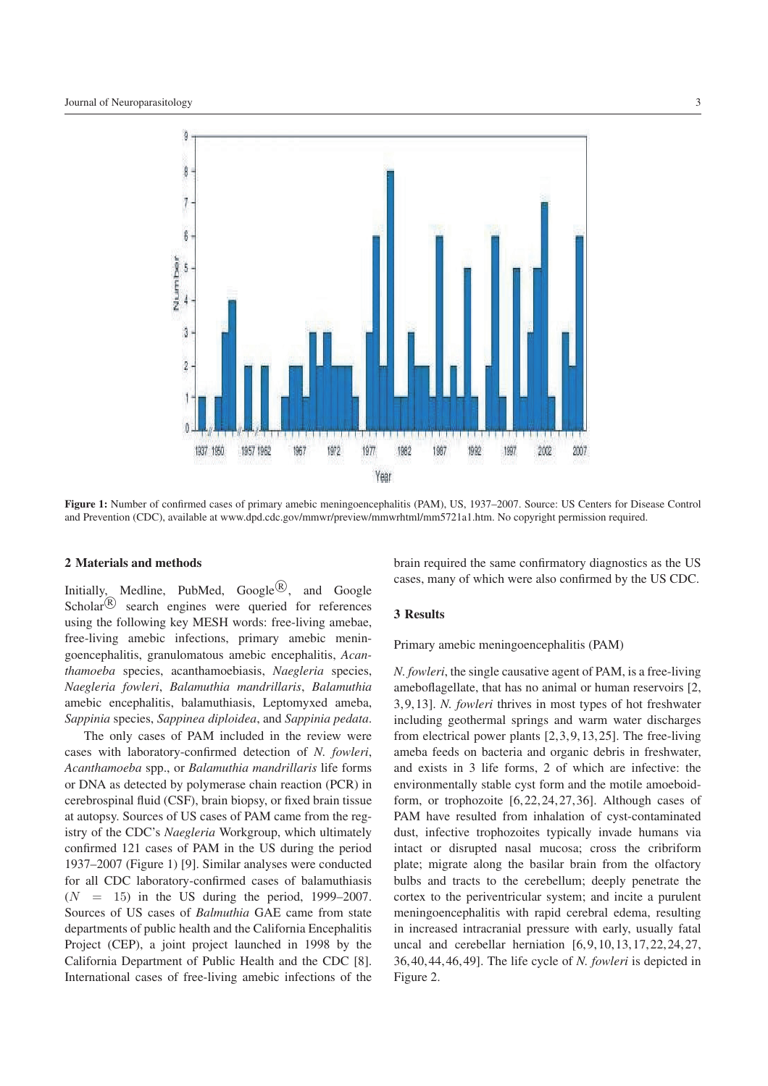

**Figure 1:** Number of confirmed cases of primary amebic meningoencephalitis (PAM), US, 1937–2007. Source: US Centers for Disease Control and Prevention (CDC), available at www.dpd.cdc.gov/mmwr/preview/mmwrhtml/mm5721a1.htm. No copyright permission required.

## **2 Materials and methods**

Initially, Medline, PubMed, Google<sup>(R)</sup>, and Google Scholar $\left(\mathbb{R}\right)$  search engines were queried for references using the following key MESH words: free-living amebae, free-living amebic infections, primary amebic meningoencephalitis, granulomatous amebic encephalitis, *Acanthamoeba* species, acanthamoebiasis, *Naegleria* species, *Naegleria fowleri*, *Balamuthia mandrillaris*, *Balamuthia* amebic encephalitis, balamuthiasis, Leptomyxed ameba, *Sappinia* species, *Sappinea diploidea*, and *Sappinia pedata*.

The only cases of PAM included in the review were cases with laboratory-confirmed detection of *N. fowleri*, *Acanthamoeba* spp., or *Balamuthia mandrillaris* life forms or DNA as detected by polymerase chain reaction (PCR) in cerebrospinal fluid (CSF), brain biopsy, or fixed brain tissue at autopsy. Sources of US cases of PAM came from the registry of the CDC's *Naegleria* Workgroup, which ultimately confirmed 121 cases of PAM in the US during the period 1937–2007 (Figure 1) [9]. Similar analyses were conducted for all CDC laboratory-confirmed cases of balamuthiasis  $(N = 15)$  in the US during the period, 1999–2007. Sources of US cases of *Balmuthia* GAE came from state departments of public health and the California Encephalitis Project (CEP), a joint project launched in 1998 by the California Department of Public Health and the CDC [8]. International cases of free-living amebic infections of the

brain required the same confirmatory diagnostics as the US cases, many of which were also confirmed by the US CDC.

#### **3 Results**

Primary amebic meningoencephalitis (PAM)

*N. fowleri*, the single causative agent of PAM, is a free-living ameboflagellate, that has no animal or human reservoirs [2, 3, 9, 13]. *N. fowleri* thrives in most types of hot freshwater including geothermal springs and warm water discharges from electrical power plants [2, 3, 9, 13, 25]. The free-living ameba feeds on bacteria and organic debris in freshwater, and exists in 3 life forms, 2 of which are infective: the environmentally stable cyst form and the motile amoeboidform, or trophozoite [6, 22, 24, 27, 36]. Although cases of PAM have resulted from inhalation of cyst-contaminated dust, infective trophozoites typically invade humans via intact or disrupted nasal mucosa; cross the cribriform plate; migrate along the basilar brain from the olfactory bulbs and tracts to the cerebellum; deeply penetrate the cortex to the periventricular system; and incite a purulent meningoencephalitis with rapid cerebral edema, resulting in increased intracranial pressure with early, usually fatal uncal and cerebellar herniation [6, 9, 10, 13, 17, 22, 24, 27, 36, 40, 44, 46, 49]. The life cycle of *N. fowleri* is depicted in Figure 2.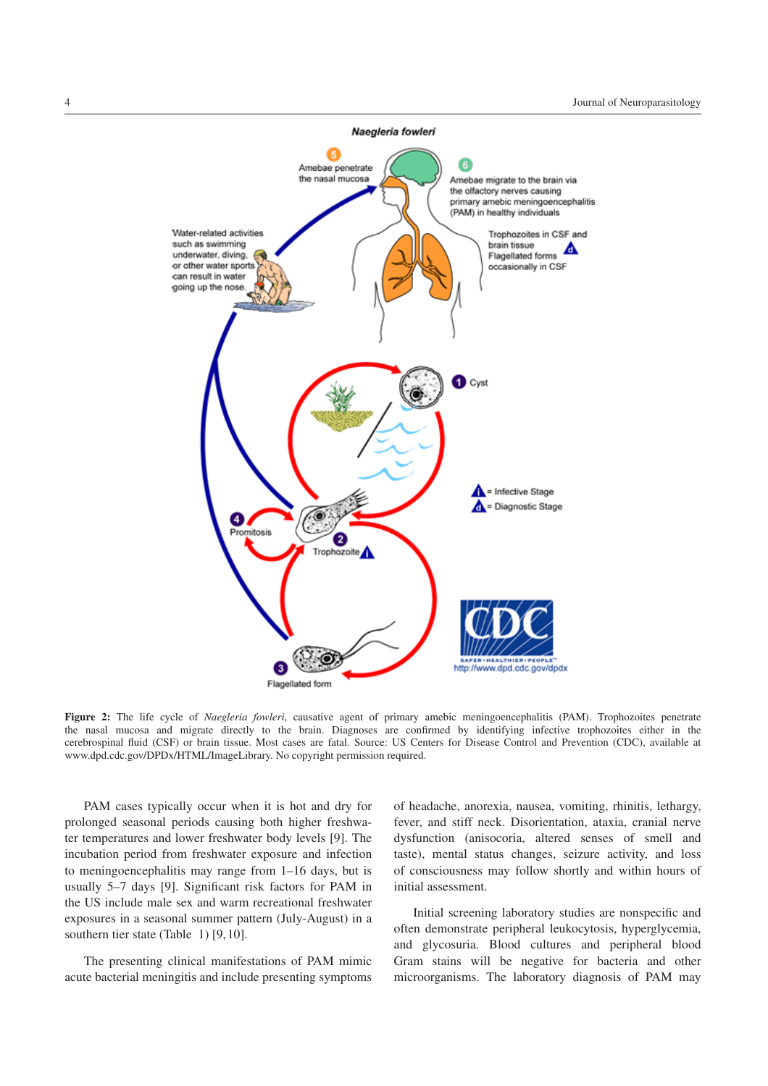

**Figure 2:** The life cycle of *Naegleria fowleri*, causative agent of primary amebic meningoencephalitis (PAM). Trophozoites penetrate the nasal mucosa and migrate directly to the brain. Diagnoses are confirmed by identifying infective trophozoites either in the cerebrospinal fluid (CSF) or brain tissue. Most cases are fatal. Source: US Centers for Disease Control and Prevention (CDC), available at www.dpd.cdc.gov/DPDx/HTML/ImageLibrary. No copyright permission required.

PAM cases typically occur when it is hot and dry for prolonged seasonal periods causing both higher freshwater temperatures and lower freshwater body levels [9]. The incubation period from freshwater exposure and infection to meningoencephalitis may range from 1–16 days, but is usually 5–7 days [9]. Significant risk factors for PAM in the US include male sex and warm recreational freshwater exposures in a seasonal summer pattern (July-August) in a southern tier state (Table 1) [9, 10].

The presenting clinical manifestations of PAM mimic acute bacterial meningitis and include presenting symptoms

of headache, anorexia, nausea, vomiting, rhinitis, lethargy, fever, and stiff neck. Disorientation, ataxia, cranial nerve dysfunction (anisocoria, altered senses of smell and taste), mental status changes, seizure activity, and loss of consciousness may follow shortly and within hours of initial assessment.

Initial screening laboratory studies are nonspecific and often demonstrate peripheral leukocytosis, hyperglycemia, and glycosuria. Blood cultures and peripheral blood Gram stains will be negative for bacteria and other microorganisms. The laboratory diagnosis of PAM may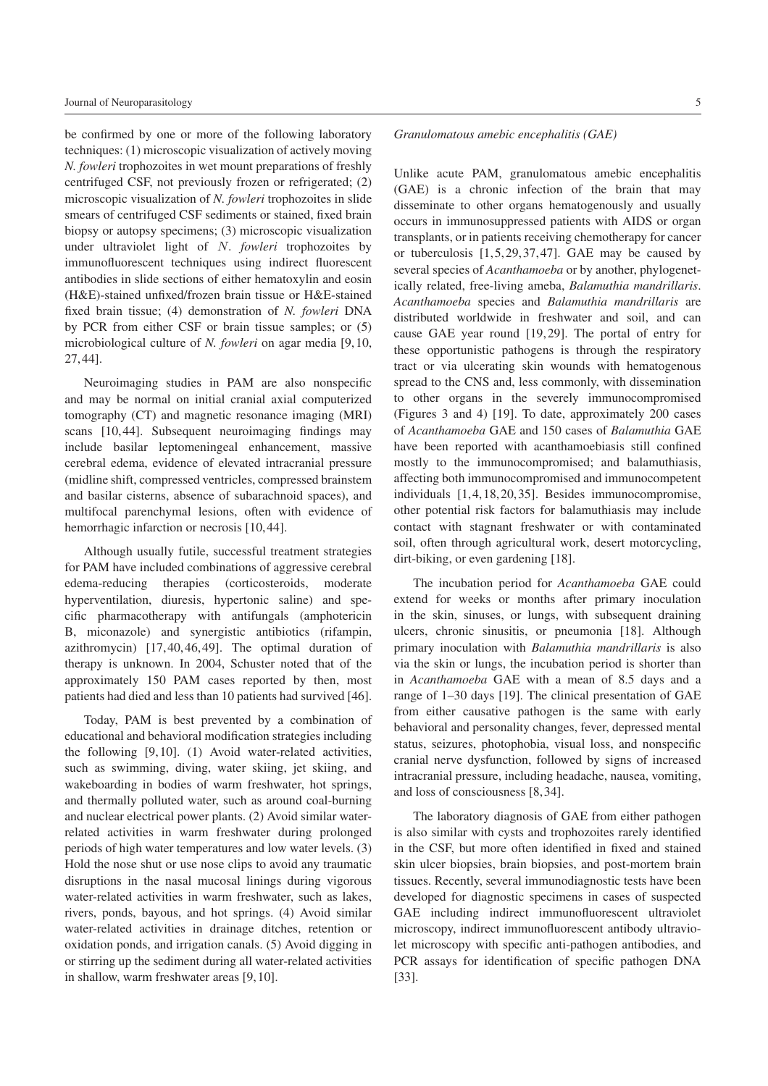be confirmed by one or more of the following laboratory techniques: (1) microscopic visualization of actively moving *N. fowleri* trophozoites in wet mount preparations of freshly centrifuged CSF, not previously frozen or refrigerated; (2) microscopic visualization of *N. fowleri* trophozoites in slide smears of centrifuged CSF sediments or stained, fixed brain biopsy or autopsy specimens; (3) microscopic visualization under ultraviolet light of *N. fowleri* trophozoites by immunofluorescent techniques using indirect fluorescent antibodies in slide sections of either hematoxylin and eosin (H&E)-stained unfixed/frozen brain tissue or H&E-stained fixed brain tissue; (4) demonstration of *N. fowleri* DNA by PCR from either CSF or brain tissue samples; or (5) microbiological culture of *N. fowleri* on agar media [9, 10, 27, 44].

Neuroimaging studies in PAM are also nonspecific and may be normal on initial cranial axial computerized tomography (CT) and magnetic resonance imaging (MRI) scans [10, 44]. Subsequent neuroimaging findings may include basilar leptomeningeal enhancement, massive cerebral edema, evidence of elevated intracranial pressure (midline shift, compressed ventricles, compressed brainstem and basilar cisterns, absence of subarachnoid spaces), and multifocal parenchymal lesions, often with evidence of hemorrhagic infarction or necrosis [10,44].

Although usually futile, successful treatment strategies for PAM have included combinations of aggressive cerebral edema-reducing therapies (corticosteroids, moderate hyperventilation, diuresis, hypertonic saline) and specific pharmacotherapy with antifungals (amphotericin B, miconazole) and synergistic antibiotics (rifampin, azithromycin) [17, 40, 46, 49]. The optimal duration of therapy is unknown. In 2004, Schuster noted that of the approximately 150 PAM cases reported by then, most patients had died and less than 10 patients had survived [46].

Today, PAM is best prevented by a combination of educational and behavioral modification strategies including the following [9, 10]. (1) Avoid water-related activities, such as swimming, diving, water skiing, jet skiing, and wakeboarding in bodies of warm freshwater, hot springs, and thermally polluted water, such as around coal-burning and nuclear electrical power plants. (2) Avoid similar waterrelated activities in warm freshwater during prolonged periods of high water temperatures and low water levels. (3) Hold the nose shut or use nose clips to avoid any traumatic disruptions in the nasal mucosal linings during vigorous water-related activities in warm freshwater, such as lakes, rivers, ponds, bayous, and hot springs. (4) Avoid similar water-related activities in drainage ditches, retention or oxidation ponds, and irrigation canals. (5) Avoid digging in or stirring up the sediment during all water-related activities in shallow, warm freshwater areas [9, 10].

# *Granulomatous amebic encephalitis (GAE)*

Unlike acute PAM, granulomatous amebic encephalitis (GAE) is a chronic infection of the brain that may disseminate to other organs hematogenously and usually occurs in immunosuppressed patients with AIDS or organ transplants, or in patients receiving chemotherapy for cancer or tuberculosis  $[1, 5, 29, 37, 47]$ . GAE may be caused by several species of *Acanthamoeba* or by another, phylogenetically related, free-living ameba, *Balamuthia mandrillaris*. *Acanthamoeba* species and *Balamuthia mandrillaris* are distributed worldwide in freshwater and soil, and can cause GAE year round [19, 29]. The portal of entry for these opportunistic pathogens is through the respiratory tract or via ulcerating skin wounds with hematogenous spread to the CNS and, less commonly, with dissemination to other organs in the severely immunocompromised (Figures 3 and 4) [19]. To date, approximately 200 cases of *Acanthamoeba* GAE and 150 cases of *Balamuthia* GAE have been reported with acanthamoebiasis still confined mostly to the immunocompromised; and balamuthiasis, affecting both immunocompromised and immunocompetent individuals [1, 4, 18, 20, 35]. Besides immunocompromise, other potential risk factors for balamuthiasis may include contact with stagnant freshwater or with contaminated soil, often through agricultural work, desert motorcycling, dirt-biking, or even gardening [18].

The incubation period for *Acanthamoeba* GAE could extend for weeks or months after primary inoculation in the skin, sinuses, or lungs, with subsequent draining ulcers, chronic sinusitis, or pneumonia [18]. Although primary inoculation with *Balamuthia mandrillaris* is also via the skin or lungs, the incubation period is shorter than in *Acanthamoeba* GAE with a mean of 8.5 days and a range of 1–30 days [19]. The clinical presentation of GAE from either causative pathogen is the same with early behavioral and personality changes, fever, depressed mental status, seizures, photophobia, visual loss, and nonspecific cranial nerve dysfunction, followed by signs of increased intracranial pressure, including headache, nausea, vomiting, and loss of consciousness [8, 34].

The laboratory diagnosis of GAE from either pathogen is also similar with cysts and trophozoites rarely identified in the CSF, but more often identified in fixed and stained skin ulcer biopsies, brain biopsies, and post-mortem brain tissues. Recently, several immunodiagnostic tests have been developed for diagnostic specimens in cases of suspected GAE including indirect immunofluorescent ultraviolet microscopy, indirect immunofluorescent antibody ultraviolet microscopy with specific anti-pathogen antibodies, and PCR assays for identification of specific pathogen DNA [33].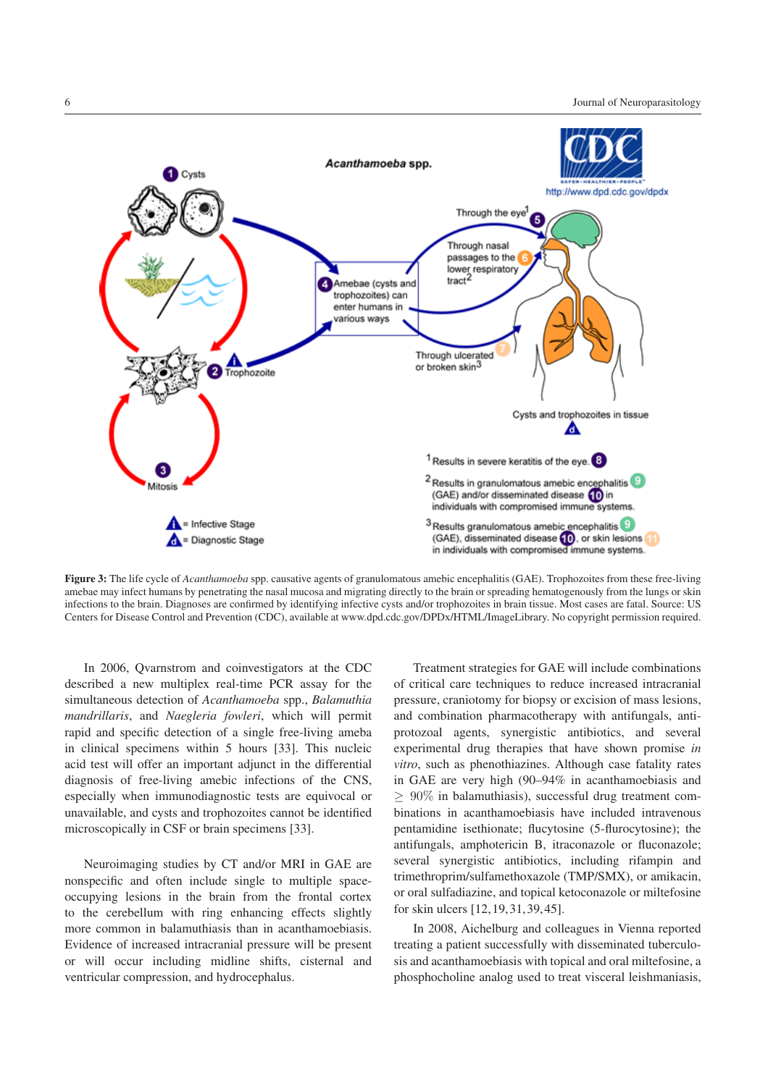

**Figure 3:** The life cycle of *Acanthamoeba* spp. causative agents of granulomatous amebic encephalitis (GAE). Trophozoites from these free-living amebae may infect humans by penetrating the nasal mucosa and migrating directly to the brain or spreading hematogenously from the lungs or skin infections to the brain. Diagnoses are confirmed by identifying infective cysts and/or trophozoites in brain tissue. Most cases are fatal. Source: US Centers for Disease Control and Prevention (CDC), available at www.dpd.cdc.gov/DPDx/HTML/ImageLibrary. No copyright permission required.

In 2006, Qvarnstrom and coinvestigators at the CDC described a new multiplex real-time PCR assay for the simultaneous detection of *Acanthamoeba* spp., *Balamuthia mandrillaris*, and *Naegleria fowleri*, which will permit rapid and specific detection of a single free-living ameba in clinical specimens within 5 hours [33]. This nucleic acid test will offer an important adjunct in the differential diagnosis of free-living amebic infections of the CNS, especially when immunodiagnostic tests are equivocal or unavailable, and cysts and trophozoites cannot be identified microscopically in CSF or brain specimens [33].

Neuroimaging studies by CT and/or MRI in GAE are nonspecific and often include single to multiple spaceoccupying lesions in the brain from the frontal cortex to the cerebellum with ring enhancing effects slightly more common in balamuthiasis than in acanthamoebiasis. Evidence of increased intracranial pressure will be present or will occur including midline shifts, cisternal and ventricular compression, and hydrocephalus.

Treatment strategies for GAE will include combinations of critical care techniques to reduce increased intracranial pressure, craniotomy for biopsy or excision of mass lesions, and combination pharmacotherapy with antifungals, antiprotozoal agents, synergistic antibiotics, and several experimental drug therapies that have shown promise *in vitro*, such as phenothiazines. Although case fatality rates in GAE are very high (90–94% in acanthamoebiasis and ≥ 90% in balamuthiasis), successful drug treatment combinations in acanthamoebiasis have included intravenous pentamidine isethionate; flucytosine (5-flurocytosine); the antifungals, amphotericin B, itraconazole or fluconazole; several synergistic antibiotics, including rifampin and trimethroprim/sulfamethoxazole (TMP/SMX), or amikacin, or oral sulfadiazine, and topical ketoconazole or miltefosine for skin ulcers [12, 19, 31, 39, 45].

In 2008, Aichelburg and colleagues in Vienna reported treating a patient successfully with disseminated tuberculosis and acanthamoebiasis with topical and oral miltefosine, a phosphocholine analog used to treat visceral leishmaniasis,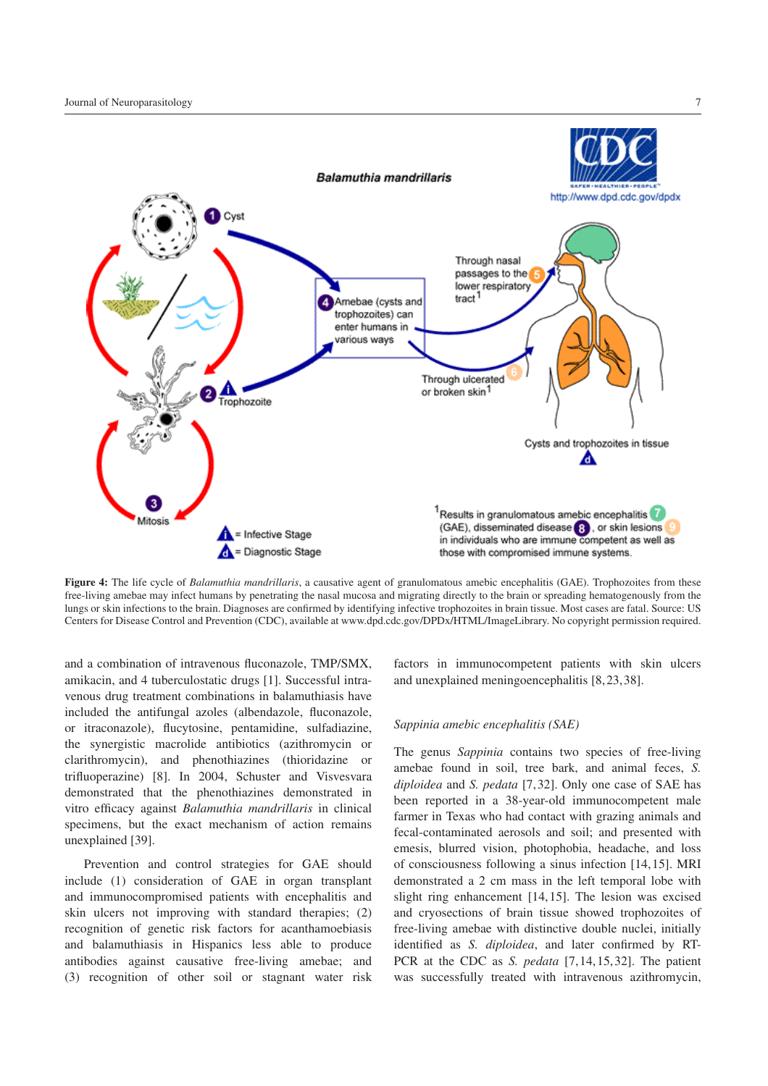

**Figure 4:** The life cycle of *Balamuthia mandrillaris*, a causative agent of granulomatous amebic encephalitis (GAE). Trophozoites from these free-living amebae may infect humans by penetrating the nasal mucosa and migrating directly to the brain or spreading hematogenously from the lungs or skin infections to the brain. Diagnoses are confirmed by identifying infective trophozoites in brain tissue. Most cases are fatal. Source: US Centers for Disease Control and Prevention (CDC), available at www.dpd.cdc.gov/DPDx/HTML/ImageLibrary. No copyright permission required.

and a combination of intravenous fluconazole, TMP/SMX, amikacin, and 4 tuberculostatic drugs [1]. Successful intravenous drug treatment combinations in balamuthiasis have included the antifungal azoles (albendazole, fluconazole, or itraconazole), flucytosine, pentamidine, sulfadiazine, the synergistic macrolide antibiotics (azithromycin or clarithromycin), and phenothiazines (thioridazine or trifluoperazine) [8]. In 2004, Schuster and Visvesvara demonstrated that the phenothiazines demonstrated in vitro efficacy against *Balamuthia mandrillaris* in clinical specimens, but the exact mechanism of action remains unexplained [39].

Prevention and control strategies for GAE should include (1) consideration of GAE in organ transplant and immunocompromised patients with encephalitis and skin ulcers not improving with standard therapies; (2) recognition of genetic risk factors for acanthamoebiasis and balamuthiasis in Hispanics less able to produce antibodies against causative free-living amebae; and (3) recognition of other soil or stagnant water risk

factors in immunocompetent patients with skin ulcers and unexplained meningoencephalitis [8, 23, 38].

## *Sappinia amebic encephalitis (SAE)*

The genus *Sappinia* contains two species of free-living amebae found in soil, tree bark, and animal feces, *S. diploidea* and *S. pedata* [7, 32]. Only one case of SAE has been reported in a 38-year-old immunocompetent male farmer in Texas who had contact with grazing animals and fecal-contaminated aerosols and soil; and presented with emesis, blurred vision, photophobia, headache, and loss of consciousness following a sinus infection [14, 15]. MRI demonstrated a 2 cm mass in the left temporal lobe with slight ring enhancement [14, 15]. The lesion was excised and cryosections of brain tissue showed trophozoites of free-living amebae with distinctive double nuclei, initially identified as *S. diploidea*, and later confirmed by RT-PCR at the CDC as *S. pedata* [7, 14, 15, 32]. The patient was successfully treated with intravenous azithromycin,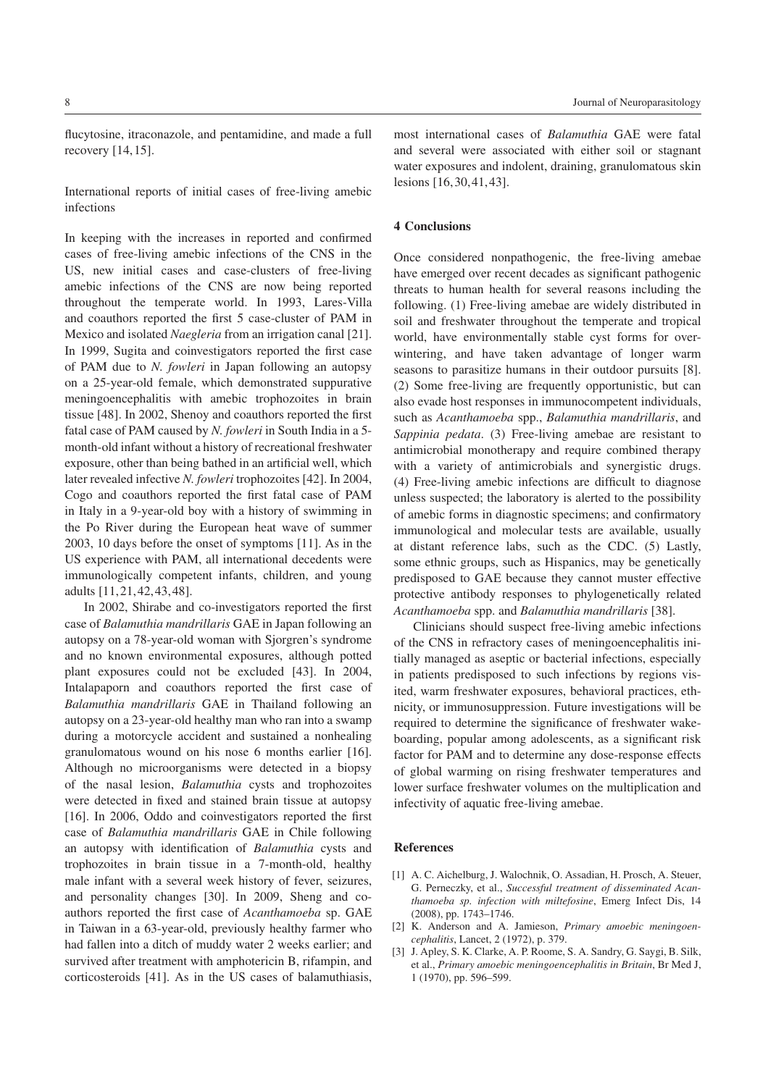International reports of initial cases of free-living amebic infections

In keeping with the increases in reported and confirmed cases of free-living amebic infections of the CNS in the US, new initial cases and case-clusters of free-living amebic infections of the CNS are now being reported throughout the temperate world. In 1993, Lares-Villa and coauthors reported the first 5 case-cluster of PAM in Mexico and isolated *Naegleria* from an irrigation canal [21]. In 1999, Sugita and coinvestigators reported the first case of PAM due to *N. fowleri* in Japan following an autopsy on a 25-year-old female, which demonstrated suppurative meningoencephalitis with amebic trophozoites in brain tissue [48]. In 2002, Shenoy and coauthors reported the first fatal case of PAM caused by *N. fowleri* in South India in a 5 month-old infant without a history of recreational freshwater exposure, other than being bathed in an artificial well, which later revealed infective *N. fowleri* trophozoites [42]. In 2004, Cogo and coauthors reported the first fatal case of PAM in Italy in a 9-year-old boy with a history of swimming in the Po River during the European heat wave of summer 2003, 10 days before the onset of symptoms [11]. As in the US experience with PAM, all international decedents were immunologically competent infants, children, and young adults [11, 21, 42, 43, 48].

In 2002, Shirabe and co-investigators reported the first case of *Balamuthia mandrillaris* GAE in Japan following an autopsy on a 78-year-old woman with Sjorgren's syndrome and no known environmental exposures, although potted plant exposures could not be excluded [43]. In 2004, Intalapaporn and coauthors reported the first case of *Balamuthia mandrillaris* GAE in Thailand following an autopsy on a 23-year-old healthy man who ran into a swamp during a motorcycle accident and sustained a nonhealing granulomatous wound on his nose 6 months earlier [16]. Although no microorganisms were detected in a biopsy of the nasal lesion, *Balamuthia* cysts and trophozoites were detected in fixed and stained brain tissue at autopsy [16]. In 2006, Oddo and coinvestigators reported the first case of *Balamuthia mandrillaris* GAE in Chile following an autopsy with identification of *Balamuthia* cysts and trophozoites in brain tissue in a 7-month-old, healthy male infant with a several week history of fever, seizures, and personality changes [30]. In 2009, Sheng and coauthors reported the first case of *Acanthamoeba* sp. GAE in Taiwan in a 63-year-old, previously healthy farmer who had fallen into a ditch of muddy water 2 weeks earlier; and survived after treatment with amphotericin B, rifampin, and corticosteroids [41]. As in the US cases of balamuthiasis,

most international cases of *Balamuthia* GAE were fatal and several were associated with either soil or stagnant water exposures and indolent, draining, granulomatous skin lesions [16, 30, 41, 43].

# **4 Conclusions**

Once considered nonpathogenic, the free-living amebae have emerged over recent decades as significant pathogenic threats to human health for several reasons including the following. (1) Free-living amebae are widely distributed in soil and freshwater throughout the temperate and tropical world, have environmentally stable cyst forms for overwintering, and have taken advantage of longer warm seasons to parasitize humans in their outdoor pursuits [8]. (2) Some free-living are frequently opportunistic, but can also evade host responses in immunocompetent individuals, such as *Acanthamoeba* spp., *Balamuthia mandrillaris*, and *Sappinia pedata*. (3) Free-living amebae are resistant to antimicrobial monotherapy and require combined therapy with a variety of antimicrobials and synergistic drugs. (4) Free-living amebic infections are difficult to diagnose unless suspected; the laboratory is alerted to the possibility of amebic forms in diagnostic specimens; and confirmatory immunological and molecular tests are available, usually at distant reference labs, such as the CDC. (5) Lastly, some ethnic groups, such as Hispanics, may be genetically predisposed to GAE because they cannot muster effective protective antibody responses to phylogenetically related *Acanthamoeba* spp. and *Balamuthia mandrillaris* [38].

Clinicians should suspect free-living amebic infections of the CNS in refractory cases of meningoencephalitis initially managed as aseptic or bacterial infections, especially in patients predisposed to such infections by regions visited, warm freshwater exposures, behavioral practices, ethnicity, or immunosuppression. Future investigations will be required to determine the significance of freshwater wakeboarding, popular among adolescents, as a significant risk factor for PAM and to determine any dose-response effects of global warming on rising freshwater temperatures and lower surface freshwater volumes on the multiplication and infectivity of aquatic free-living amebae.

#### **References**

- [1] A. C. Aichelburg, J. Walochnik, O. Assadian, H. Prosch, A. Steuer, G. Perneczky, et al., *Successful treatment of disseminated Acanthamoeba sp. infection with miltefosine*, Emerg Infect Dis, 14 (2008), pp. 1743–1746.
- [2] K. Anderson and A. Jamieson, *Primary amoebic meningoencephalitis*, Lancet, 2 (1972), p. 379.
- [3] J. Apley, S. K. Clarke, A. P. Roome, S. A. Sandry, G. Saygi, B. Silk, et al., *Primary amoebic meningoencephalitis in Britain*, Br Med J, 1 (1970), pp. 596–599.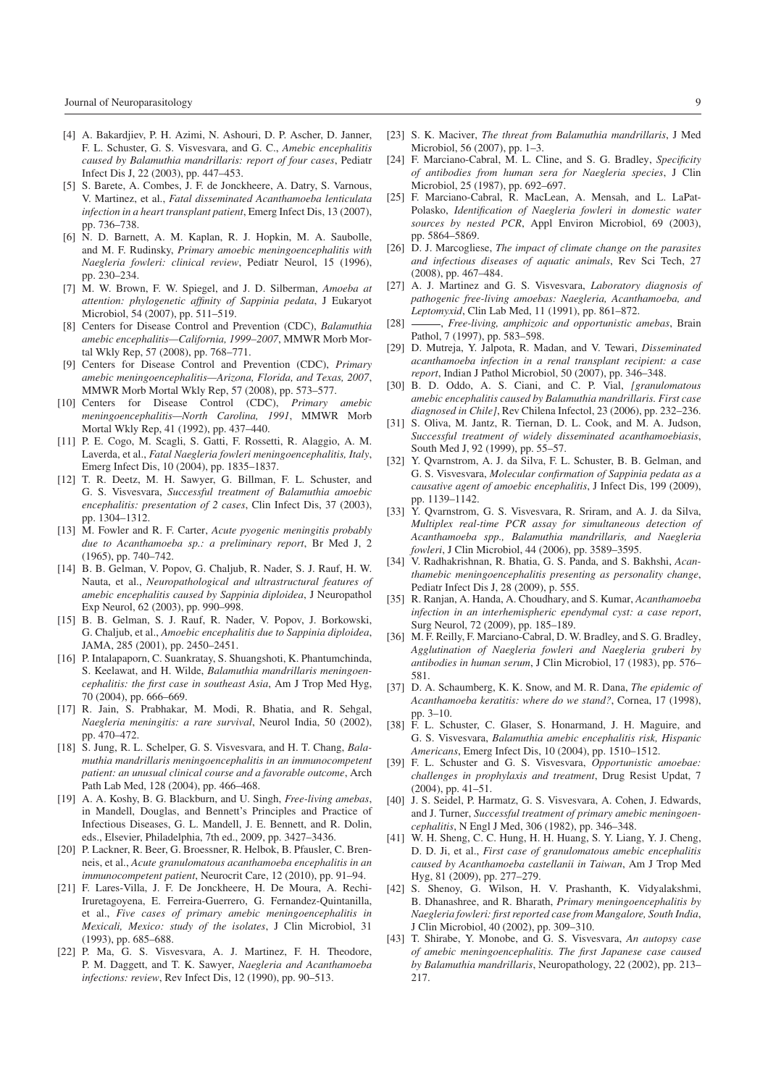- [4] A. Bakardjiev, P. H. Azimi, N. Ashouri, D. P. Ascher, D. Janner, F. L. Schuster, G. S. Visvesvara, and G. C., *Amebic encephalitis caused by Balamuthia mandrillaris: report of four cases*, Pediatr Infect Dis J, 22 (2003), pp. 447–453.
- [5] S. Barete, A. Combes, J. F. de Jonckheere, A. Datry, S. Varnous, V. Martinez, et al., *Fatal disseminated Acanthamoeba lenticulata infection in a heart transplant patient*, Emerg Infect Dis, 13 (2007), pp. 736–738.
- [6] N. D. Barnett, A. M. Kaplan, R. J. Hopkin, M. A. Saubolle, and M. F. Rudinsky, *Primary amoebic meningoencephalitis with Naegleria fowleri: clinical review*, Pediatr Neurol, 15 (1996), pp. 230–234.
- [7] M. W. Brown, F. W. Spiegel, and J. D. Silberman, *Amoeba at attention: phylogenetic affinity of Sappinia pedata*, J Eukaryot Microbiol, 54 (2007), pp. 511–519.
- [8] Centers for Disease Control and Prevention (CDC), *Balamuthia amebic encephalitis—California, 1999–2007*, MMWR Morb Mortal Wkly Rep, 57 (2008), pp. 768–771.
- [9] Centers for Disease Control and Prevention (CDC), *Primary amebic meningoencephalitis—Arizona, Florida, and Texas, 2007*, MMWR Morb Mortal Wkly Rep, 57 (2008), pp. 573–577.
- [10] Centers for Disease Control (CDC), *Primary amebic meningoencephalitis—North Carolina, 1991*, MMWR Morb Mortal Wkly Rep, 41 (1992), pp. 437–440.
- [11] P. E. Cogo, M. Scagli, S. Gatti, F. Rossetti, R. Alaggio, A. M. Laverda, et al., *Fatal Naegleria fowleri meningoencephalitis, Italy*, Emerg Infect Dis, 10 (2004), pp. 1835–1837.
- [12] T. R. Deetz, M. H. Sawyer, G. Billman, F. L. Schuster, and G. S. Visvesvara, *Successful treatment of Balamuthia amoebic encephalitis: presentation of 2 cases*, Clin Infect Dis, 37 (2003), pp. 1304–1312.
- [13] M. Fowler and R. F. Carter, *Acute pyogenic meningitis probably due to Acanthamoeba sp.: a preliminary report*, Br Med J, 2 (1965), pp. 740–742.
- [14] B. B. Gelman, V. Popov, G. Chaljub, R. Nader, S. J. Rauf, H. W. Nauta, et al., *Neuropathological and ultrastructural features of amebic encephalitis caused by Sappinia diploidea*, J Neuropathol Exp Neurol, 62 (2003), pp. 990–998.
- [15] B. B. Gelman, S. J. Rauf, R. Nader, V. Popov, J. Borkowski, G. Chaljub, et al., *Amoebic encephalitis due to Sappinia diploidea*, JAMA, 285 (2001), pp. 2450–2451.
- [16] P. Intalapaporn, C. Suankratay, S. Shuangshoti, K. Phantumchinda, S. Keelawat, and H. Wilde, *Balamuthia mandrillaris meningoencephalitis: the first case in southeast Asia*, Am J Trop Med Hyg, 70 (2004), pp. 666–669.
- [17] R. Jain, S. Prabhakar, M. Modi, R. Bhatia, and R. Sehgal, *Naegleria meningitis: a rare survival*, Neurol India, 50 (2002), pp. 470–472.
- [18] S. Jung, R. L. Schelper, G. S. Visvesvara, and H. T. Chang, *Balamuthia mandrillaris meningoencephalitis in an immunocompetent patient: an unusual clinical course and a favorable outcome*, Arch Path Lab Med, 128 (2004), pp. 466–468.
- [19] A. A. Koshy, B. G. Blackburn, and U. Singh, *Free-living amebas*, in Mandell, Douglas, and Bennett's Principles and Practice of Infectious Diseases, G. L. Mandell, J. E. Bennett, and R. Dolin, eds., Elsevier, Philadelphia, 7th ed., 2009, pp. 3427–3436.
- [20] P. Lackner, R. Beer, G. Broessner, R. Helbok, B. Pfausler, C. Brenneis, et al., *Acute granulomatous acanthamoeba encephalitis in an immunocompetent patient*, Neurocrit Care, 12 (2010), pp. 91–94.
- [21] F. Lares-Villa, J. F. De Jonckheere, H. De Moura, A. Rechi-Iruretagoyena, E. Ferreira-Guerrero, G. Fernandez-Quintanilla, et al., *Five cases of primary amebic meningoencephalitis in Mexicali, Mexico: study of the isolates*, J Clin Microbiol, 31 (1993), pp. 685–688.
- [22] P. Ma, G. S. Visvesvara, A. J. Martinez, F. H. Theodore, P. M. Daggett, and T. K. Sawyer, *Naegleria and Acanthamoeba infections: review*, Rev Infect Dis, 12 (1990), pp. 90–513.
- [23] S. K. Maciver, *The threat from Balamuthia mandrillaris*, J Med Microbiol, 56 (2007), pp. 1–3.
- [24] F. Marciano-Cabral, M. L. Cline, and S. G. Bradley, *Specificity of antibodies from human sera for Naegleria species*, J Clin Microbiol, 25 (1987), pp. 692–697.
- [25] F. Marciano-Cabral, R. MacLean, A. Mensah, and L. LaPat-Polasko, *Identification of Naegleria fowleri in domestic water sources by nested PCR*, Appl Environ Microbiol, 69 (2003), pp. 5864–5869.
- [26] D. J. Marcogliese, *The impact of climate change on the parasites and infectious diseases of aquatic animals*, Rev Sci Tech, 27 (2008), pp. 467–484.
- [27] A. J. Martinez and G. S. Visvesvara, *Laboratory diagnosis of pathogenic free-living amoebas: Naegleria, Acanthamoeba, and Leptomyxid*, Clin Lab Med, 11 (1991), pp. 861–872.
- [28] , *Free-living, amphizoic and opportunistic amebas*, Brain Pathol, 7 (1997), pp. 583–598.
- [29] D. Mutreja, Y. Jalpota, R. Madan, and V. Tewari, *Disseminated acanthamoeba infection in a renal transplant recipient: a case report*, Indian J Pathol Microbiol, 50 (2007), pp. 346–348.
- [30] B. D. Oddo, A. S. Ciani, and C. P. Vial, *[granulomatous amebic encephalitis caused by Balamuthia mandrillaris. First case diagnosed in Chile]*, Rev Chilena Infectol, 23 (2006), pp. 232–236.
- [31] S. Oliva, M. Jantz, R. Tiernan, D. L. Cook, and M. A. Judson, *Successful treatment of widely disseminated acanthamoebiasis*, South Med J, 92 (1999), pp. 55–57.
- [32] Y. Qvarnstrom, A. J. da Silva, F. L. Schuster, B. B. Gelman, and G. S. Visvesvara, *Molecular confirmation of Sappinia pedata as a causative agent of amoebic encephalitis*, J Infect Dis, 199 (2009), pp. 1139–1142.
- [33] Y. Ovarnstrom, G. S. Visvesvara, R. Sriram, and A. J. da Silva, *Multiplex real-time PCR assay for simultaneous detection of Acanthamoeba spp., Balamuthia mandrillaris, and Naegleria fowleri*, J Clin Microbiol, 44 (2006), pp. 3589–3595.
- [34] V. Radhakrishnan, R. Bhatia, G. S. Panda, and S. Bakhshi, *Acanthamebic meningoencephalitis presenting as personality change*, Pediatr Infect Dis J, 28 (2009), p. 555.
- [35] R. Ranjan, A. Handa, A. Choudhary, and S. Kumar, *Acanthamoeba infection in an interhemispheric ependymal cyst: a case report*, Surg Neurol, 72 (2009), pp. 185–189.
- [36] M. F. Reilly, F. Marciano-Cabral, D. W. Bradley, and S. G. Bradley, *Agglutination of Naegleria fowleri and Naegleria gruberi by antibodies in human serum*, J Clin Microbiol, 17 (1983), pp. 576– 581.
- [37] D. A. Schaumberg, K. K. Snow, and M. R. Dana, *The epidemic of Acanthamoeba keratitis: where do we stand?*, Cornea, 17 (1998), pp. 3–10.
- [38] F. L. Schuster, C. Glaser, S. Honarmand, J. H. Maguire, and G. S. Visvesvara, *Balamuthia amebic encephalitis risk, Hispanic Americans*, Emerg Infect Dis, 10 (2004), pp. 1510–1512.
- [39] F. L. Schuster and G. S. Visvesvara, *Opportunistic amoebae: challenges in prophylaxis and treatment*, Drug Resist Updat, 7 (2004), pp. 41–51.
- [40] J. S. Seidel, P. Harmatz, G. S. Visvesvara, A. Cohen, J. Edwards, and J. Turner, *Successful treatment of primary amebic meningoencephalitis*, N Engl J Med, 306 (1982), pp. 346–348.
- [41] W. H. Sheng, C. C. Hung, H. H. Huang, S. Y. Liang, Y. J. Cheng, D. D. Ji, et al., *First case of granulomatous amebic encephalitis caused by Acanthamoeba castellanii in Taiwan*, Am J Trop Med Hyg, 81 (2009), pp. 277–279.
- [42] S. Shenoy, G. Wilson, H. V. Prashanth, K. Vidyalakshmi, B. Dhanashree, and R. Bharath, *Primary meningoencephalitis by Naegleria fowleri: first reported case from Mangalore, South India*, J Clin Microbiol, 40 (2002), pp. 309–310.
- [43] T. Shirabe, Y. Monobe, and G. S. Visvesvara, *An autopsy case of amebic meningoencephalitis. The first Japanese case caused by Balamuthia mandrillaris*, Neuropathology, 22 (2002), pp. 213– 217.